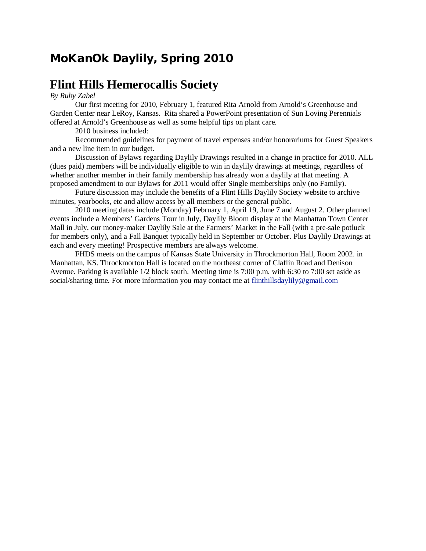# **MoKanOk Daylily, Spring 2010**

### **Flint Hills Hemerocallis Society**

#### *By Ruby Zabel*

Our first meeting for 2010, February 1, featured Rita Arnold from Arnold's Greenhouse and Garden Center near LeRoy, Kansas. Rita shared a PowerPoint presentation of Sun Loving Perennials offered at Arnold's Greenhouse as well as some helpful tips on plant care.

2010 business included:

Recommended guidelines for payment of travel expenses and/or honorariums for Guest Speakers and a new line item in our budget.

Discussion of Bylaws regarding Daylily Drawings resulted in a change in practice for 2010. ALL (dues paid) members will be individually eligible to win in daylily drawings at meetings, regardless of whether another member in their family membership has already won a daylily at that meeting. A proposed amendment to our Bylaws for 2011 would offer Single memberships only (no Family).

Future discussion may include the benefits of a Flint Hills Daylily Society website to archive minutes, yearbooks, etc and allow access by all members or the general public.

2010 meeting dates include (Monday) February 1, April 19, June 7 and August 2. Other planned events include a Members' Gardens Tour in July, Daylily Bloom display at the Manhattan Town Center Mall in July, our money-maker Daylily Sale at the Farmers' Market in the Fall (with a pre-sale potluck for members only), and a Fall Banquet typically held in September or October. Plus Daylily Drawings at each and every meeting! Prospective members are always welcome.

FHDS meets on the campus of Kansas State University in Throckmorton Hall, Room 2002. in Manhattan, KS. Throckmorton Hall is located on the northeast corner of Claflin Road and Denison Avenue. Parking is available 1/2 block south. Meeting time is 7:00 p.m. with 6:30 to 7:00 set aside as social/sharing time. For more information you may contact me at flinthillsdaylily@gmail.com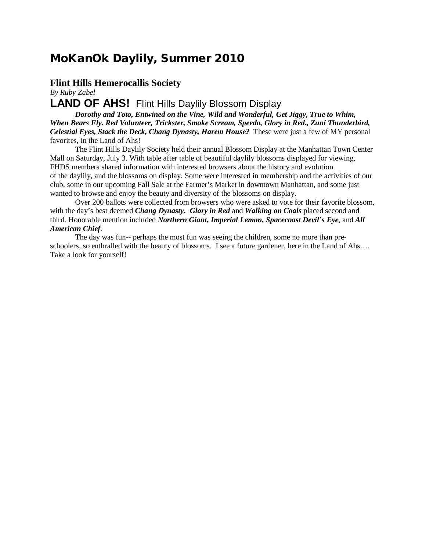### **MoKanOk Daylily, Summer 2010**

### **Flint Hills Hemerocallis Society**

*By Ruby Zabel*

### **LAND OF AHS!** Flint Hills Daylily Blossom Display

*Dorothy and Toto, Entwined on the Vine, Wild and Wonderful, Get Jiggy, True to Whim, When Bears Fly. Red Volunteer, Trickster, Smoke Scream, Speedo, Glory in Red., Zuni Thunderbird, Celestial Eyes, Stack the Deck, Chang Dynasty, Harem House?* These were just a few of MY personal favorites, in the Land of Ahs!

The Flint Hills Daylily Society held their annual Blossom Display at the Manhattan Town Center Mall on Saturday, July 3. With table after table of beautiful daylily blossoms displayed for viewing, FHDS members shared information with interested browsers about the history and evolution of the daylily, and the blossoms on display. Some were interested in membership and the activities of our club, some in our upcoming Fall Sale at the Farmer's Market in downtown Manhattan, and some just wanted to browse and enjoy the beauty and diversity of the blossoms on display.

Over 200 ballots were collected from browsers who were asked to vote for their favorite blossom, with the day's best deemed *Chang Dynasty***.** *Glory in Red* and *Walking on Coals* placed second and third. Honorable mention included *Northern Giant***,** *Imperial Lemon***,** *Spacecoast Devil's Eye*, and *All American Chief*.

The day was fun-- perhaps the most fun was seeing the children, some no more than preschoolers, so enthralled with the beauty of blossoms. I see a future gardener, here in the Land of Ahs…. Take a look for yourself!